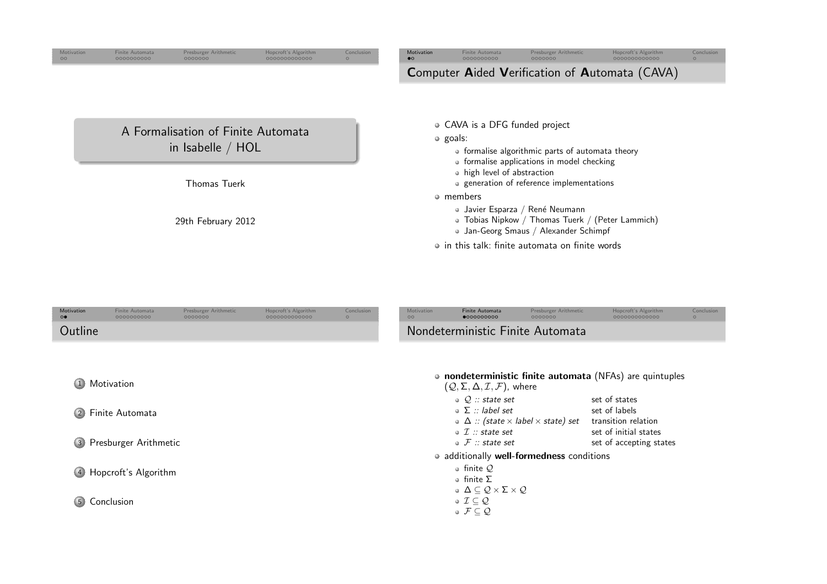<span id="page-0-0"></span>

| Motivation<br>00 | <b>Finite Automata</b><br>0000000000 | Presburger Arithmetic<br>0000000                        | Hopcroft's Algorithm<br>000000000000 | Conclusion<br>$\circ$ | Motivation<br>$\bullet$ | Finite Automata<br>0000000000                                                                                                       | Presburger Arithmetic<br>0000000                                                                                             | Hopcroft's Algorithm<br>0000000000000                 | Conclusion<br>$\circ$ |  |
|------------------|--------------------------------------|---------------------------------------------------------|--------------------------------------|-----------------------|-------------------------|-------------------------------------------------------------------------------------------------------------------------------------|------------------------------------------------------------------------------------------------------------------------------|-------------------------------------------------------|-----------------------|--|
|                  |                                      |                                                         |                                      |                       |                         |                                                                                                                                     |                                                                                                                              | <b>Computer Aided Verification of Automata (CAVA)</b> |                       |  |
|                  |                                      | A Formalisation of Finite Automata<br>in Isabelle / HOL |                                      |                       |                         | • CAVA is a DFG funded project<br>$\circ$ goals:                                                                                    | • formalise algorithmic parts of automata theory                                                                             |                                                       |                       |  |
|                  |                                      | <b>Thomas Tuerk</b>                                     |                                      |                       |                         | • formalise applications in model checking<br>• high level of abstraction<br>• generation of reference implementations<br>• members |                                                                                                                              |                                                       |                       |  |
|                  |                                      | 29th February 2012                                      |                                      |                       |                         |                                                                                                                                     | • Javier Esparza / René Neumann<br>• Tobias Nipkow / Thomas Tuerk / (Peter Lammich)<br>• Jan-Georg Smaus / Alexander Schimpf |                                                       |                       |  |
|                  |                                      |                                                         |                                      |                       |                         |                                                                                                                                     | • in this talk: finite automata on finite words                                                                              |                                                       |                       |  |

| Motivation<br>$\circ\bullet$ | Finite Automata<br>0000000000 | Presburger Arithmetic<br>0000000 | Hopcroft's Algorithm<br>000000000000 | Conclusion<br>$\Omega$ | Motivation<br>$\circ$ | <b>Finite Automata</b><br>0000000000                                                                                   | Presburger Arithmetic<br>0000000                            | Hopcroft's Algorithm<br>0000000000000                    | Conclusion<br>$\circ$ |
|------------------------------|-------------------------------|----------------------------------|--------------------------------------|------------------------|-----------------------|------------------------------------------------------------------------------------------------------------------------|-------------------------------------------------------------|----------------------------------------------------------|-----------------------|
| Outline                      |                               |                                  |                                      |                        |                       | Nondeterministic Finite Automata                                                                                       |                                                             |                                                          |                       |
|                              |                               |                                  |                                      |                        |                       |                                                                                                                        |                                                             |                                                          |                       |
| $\left(1\right)$             | Motivation                    |                                  |                                      |                        |                       | $(Q, \Sigma, \Delta, \mathcal{I}, \mathcal{F})$ , where                                                                |                                                             | • nondeterministic finite automata (NFAs) are quintuples |                       |
| $\left( 2\right)$            | Finite Automata               |                                  |                                      |                        |                       | $\circ$ Q :: state set<br>$\circ$ $\Sigma$ :: label set                                                                | $\bullet\Delta::$ (state $\times$ label $\times$ state) set | set of states<br>set of labels<br>transition relation    |                       |
| $\left( 3 \right)$           | Presburger Arithmetic         |                                  |                                      |                        |                       | $\circ$ $\mathcal{I}$ :: state set<br>$\bullet$ $\mathcal{F}$ :: state set                                             |                                                             | set of initial states<br>set of accepting states         |                       |
|                              |                               |                                  |                                      |                        |                       | • additionally well-formedness conditions                                                                              |                                                             |                                                          |                       |
|                              | 4 Hopcroft's Algorithm        |                                  |                                      |                        |                       | $\circ$ finite Q<br>$\circ$ finite $\Sigma$<br>$\bullet \Delta \subseteq \mathcal{Q} \times \Sigma \times \mathcal{Q}$ |                                                             |                                                          |                       |
| 5                            | Conclusion                    |                                  |                                      |                        |                       | $\circ \mathcal{I} \subseteq \mathcal{Q}$<br>$\circ \mathcal{F} \subseteq \mathcal{Q}$                                 |                                                             |                                                          |                       |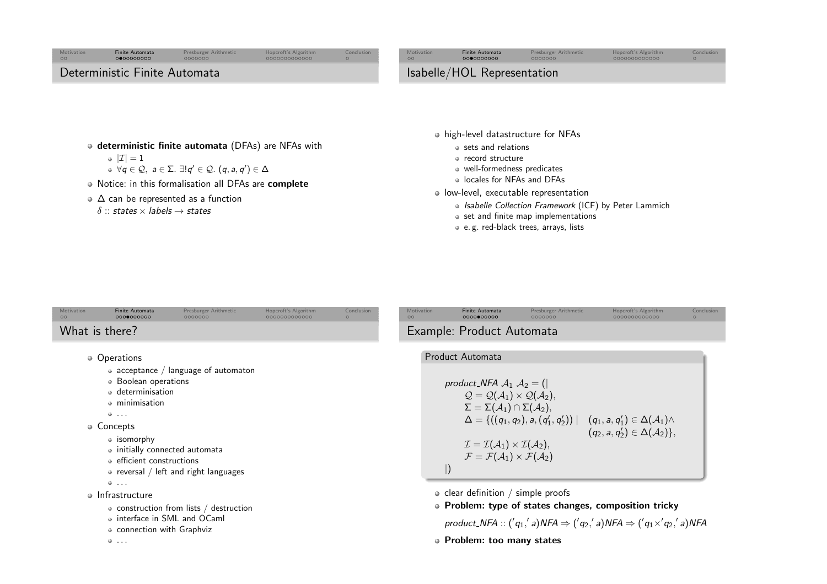# Finite[Automata](#page-0-0) [Presburger](#page-3-0) Arithmetic [Hopcroft's](#page-5-0)Algorithm

[Conclusion](#page-8-0)

[Motivation](#page-0-0)<br>00

# Deterministic Finite Automata

<span id="page-1-0"></span>Motivatio

 $\circ$ 

# deterministic finite automata (DFAs) are NFAs with

- $|\mathcal{I}|=1$  $\forall q \in \mathcal{Q}, \ a \in \Sigma$ .  $\exists ! q' \in \mathcal{Q}$ .  $(q, a, q') \in \Delta$
- Notice: in this formalisation all DFAs are **complete**
- <sup>∆</sup> can be represented as <sup>a</sup> function
	- $\delta$  :: states  $\times$  labels  $\rightarrow$  states
- high-level datastructure for NFAs
	- sets and relations
	- record structure
	- well-formedness predicates
	- locales for NFAs and DFAs
- low-level, executable representation
	- Isabelle Collection Framework (ICF) by Peter Lammich
	- $\bullet$  set and finite map implementations
	- e. g. red-black trees, arrays, lists

| Motivation     | <b>Finite Automata</b> | Presburger Arithmetic | Hopcroft's Algorithm | Conclusion |
|----------------|------------------------|-----------------------|----------------------|------------|
| $\circ$        | 0000000000             | 0000000               | 0000000000000        |            |
| What is there? |                        |                       |                      |            |

- Operations
	- acceptance  $\neq$  language of automaton
	- Boolean operations
	- determinisation
	- minimisation
	- $0.111$
- Concepts
	- isomorphy
	- initially connected automata
	- efficient constructions
	- $\bullet$  reversal / left and right languages
	- $0.111$
- Infrastructure
	- construction from lists  $/$  destruction
	- interface in SML and OCaml
	- connection with Graphviz
	-

. . . [Motivation](#page-0-0) Finite[Automata](#page-0-0) [Presburger](#page-3-0)Arithmetic [Hopcroft's](#page-5-0)Algorithm [Conclusion](#page-8-0) Example: Product Automata Product Automata product NFA <sup>A</sup><sup>1</sup> <sup>A</sup><sup>2</sup> <sup>=</sup> (<sup>|</sup> <sup>Q</sup> <sup>=</sup> <sup>Q</sup>(A1) <sup>×</sup> <sup>Q</sup>(A2), <sup>Σ</sup> <sup>=</sup> Σ(A1) <sup>∩</sup> Σ(A2), <sup>∆</sup> <sup>=</sup> {((<sup>q</sup>1, <sup>q</sup>2), <sup>a</sup>,(q′1, <sup>q</sup>′2)) <sup>|</sup> (<sup>q</sup>1, <sup>a</sup>, <sup>q</sup>′1) <sup>∈</sup> ∆(A1)<sup>∧</sup> (<sup>q</sup>2, <sup>a</sup>, <sup>q</sup>′2) <sup>∈</sup> ∆(A2)}, <sup>I</sup> <sup>=</sup> <sup>I</sup>(A1) <sup>×</sup> <sup>I</sup>(A2), <sup>F</sup> <sup>=</sup> <sup>F</sup>(A1) <sup>×</sup> <sup>F</sup>(A2) <sup>|</sup>)clear definition / simple proofs Problem: type of states changes, composition tricky product NFA :: (′q1,′ <sup>a</sup>)NFA <sup>⇒</sup> (′q2,′ <sup>a</sup>)NFA <sup>⇒</sup> (′q1×′q2,′ <sup>a</sup>)NFA Problem: too many states

- 
- 

Isabelle/HOL Representation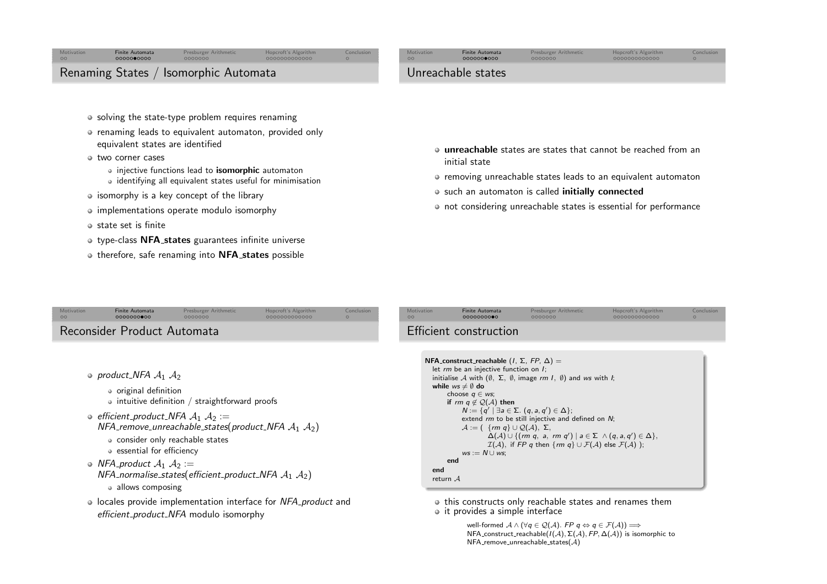#### <span id="page-2-0"></span>**[Motivation](#page-0-0)**  Finite[Automata](#page-0-0) [Presburger](#page-3-0) Arithmetic [Hopcroft's](#page-5-0)Algorithm [Conclusion](#page-8-0)  $\circ$

#### [Motivation](#page-0-0) $\circ$

Unreachable states

## Finite[Automata](#page-0-0) [Presburger](#page-3-0)Arithmetic [Hopcroft's](#page-5-0)Algorithm

[Conclusion](#page-8-0)<br>O

# Renaming States / Isomorphic Automata

- solving the state-type problem requires renaming
- renaming leads to equivalent automaton, provided only equivalent states are identified
- two corner cases
	- injective functions lead to *isomorphic* automaton
	- identifying all equivalent states useful for minimisation
- isomorphy is a key concept of the library
- $\circ$  implementations operate modulo isomorphy
- $\circ$  state set is finite
- type-class **NFA<sub>-</sub>states** guarantees infinite universe
- therefore, safe renaming into **NFA<sub>-</sub>states** possible
- **unreachable** states are states that cannot be reached from an initial state
- removing unreachable states leads to an equivalent automaton
- such an automaton is called **initially connected**
- not considering unreachable states is essential for performance

| Motivation<br>$\circ$ | <b>Finite Automata</b><br>0000000000                                                                                                                                                          | Presburger Arithmetic<br>0000000                        | Hopcroft's Algorithm<br>0000000000000 | Conclusion<br>$\Omega$ | Motivation<br>$\circ$ |
|-----------------------|-----------------------------------------------------------------------------------------------------------------------------------------------------------------------------------------------|---------------------------------------------------------|---------------------------------------|------------------------|-----------------------|
|                       | Reconsider Product Automata                                                                                                                                                                   |                                                         |                                       |                        | Effici                |
|                       |                                                                                                                                                                                               |                                                         |                                       |                        |                       |
|                       | • product_NFA $A_1$ $A_2$<br>• original definition                                                                                                                                            |                                                         |                                       |                        | NF                    |
|                       |                                                                                                                                                                                               | $\bullet$ intuitive definition / straightforward proofs |                                       |                        |                       |
|                       | $\circ$ efficient_product_NFA $\mathcal{A}_1$ $\mathcal{A}_2 :=$<br>NFA_remove_unreachable_states(product_NFA $A_1$ $A_2$ )<br>• consider only reachable states<br>• essential for efficiency |                                                         |                                       |                        |                       |
|                       | • NFA_product $A_1$ $A_2$ :=<br>NFA_normalise_states(efficient_product_NFA $A_1$ $A_2$ )<br>• allows composing                                                                                |                                                         |                                       |                        |                       |
|                       | • locales provide implementation interface for NFA product and<br>efficient_product_NFA modulo isomorphy                                                                                      |                                                         |                                       |                        |                       |
|                       |                                                                                                                                                                                               |                                                         |                                       |                        |                       |

| Motivation | <b>Finite Automata</b> | Presburger Arithmetic | Hopcroft's Algorithm | Conclusion |
|------------|------------------------|-----------------------|----------------------|------------|
| $\circ$    | 0000000000             | 0000000               | 0000000000000        |            |
|            | Efficient construction |                       |                      |            |

```
NFA\_construct\_reachable (I, \Sigma, FP, \Delta) =let rm be an injective function on I;<br>initialize A with \left(\begin{smallmatrix}A&\n\mathbf{\nabla}&\mathbf{\nabla}&\mathbf{\nabla} & \mathbf{\nabla} & \mathbf{\nabla} & \mathbf{\nabla} & \mathbf{\nabla} & \mathbf{\nabla} & \mathbf{\nabla} \end{smallmatrix}\right)initialise {\cal A} with (\emptyset,\; \Sigma,\; \emptyset, image rm I, \emptyset) and ws with I;<br>while wa \neq 0 de
     while ws \neq \emptyset do
                  choose q ∈ ws;<br>:
                  if rm~q \not\in \mathcal{Q}(\mathcal{A}) then<br>\mathcal{N} := \{ \sigma' \mid \exists \circ \in \mathcal{A} \}N := \{q' \mid \exists a \in \Sigma \ldotp (q, a, q') \in \Delta \};extend rm to be still injective and defined on N;<br>A := (f \text{ (cm s)} + Q(A) \Sigma)\mathcal{A} := \left( \begin{array}{c} \{rm \} \mathcal{A} \cup \mathcal{Q}(\mathcal{A}), \Sigma, \end{array} \right)\Delta(A) \cup \{ (rm q, a, rm q') \mid a \in \Sigma \wedge (q, a, q') \in \Delta \},\mathcal{I}(\mathcal{A}), if \mathsf{FP} \mathsf{q} then \{rm\}\mathsf{rm} \mathsf{q}\}\cup\mathcal{F}(\mathcal{A}) else \mathcal{F}(\mathcal{A}) );
                              ws := N \cup ws;endend
return A
```
• this constructs only reachable states and renames them • it provides a simple interface

> well-formed  $A \wedge (\forall q \in \mathcal{Q}(\mathcal{A}).$  FP  $q \Leftrightarrow q \in \mathcal{F}(\mathcal{A})) \implies$ <br>NEA construct reachable(I(A)  $\Sigma$ (A) EP  $\Lambda$ (A)) is iso NFA\_construct\_reachable( $I(\mathcal{A}), \Sigma(\mathcal{A}),$  FP, Δ $(\mathcal{A}))$  is isomorphic to  ${\sf NFA\_remove\_unreachable\_states}({\cal A})$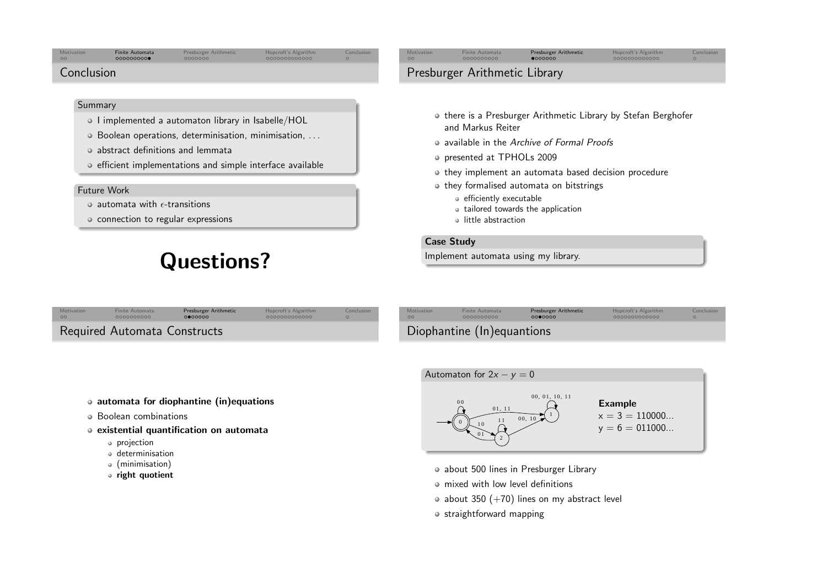#### <span id="page-3-0"></span>Motivat  $\circ$

## Finite[Automata](#page-0-0) [Presburger](#page-3-0) Arithmetic [Hopcroft's](#page-5-0)Algorithm

[Conclusion](#page-8-0)

## Conclusion

### **Summary**

- o I implemented a automaton library in Isabelle/HOL
- Boolean operations, determinisation, minimisation, . . .
- abstract definitions and lemmata
- o efficient implementations and simple interface available

### Future Work

- automata with  $\epsilon$ -transitions
- connection to regular expressions

# Questions?

# Presburger Arithmetic Library

[Motivation](#page-0-0)

 $\circ$ 

• there is a Presburger Arithmetic Library by Stefan Berghofer and Markus Reiter

Finite[Automata](#page-0-0) [Presburger](#page-3-0)Arithmetic [Hopcroft's](#page-5-0)Algorithm

- available in the Archive of Formal Proofs
- presented at TPHOLs <sup>2009</sup>
- $\bullet$  they implement an automata based decision procedure
- o they formalised automata on bitstrings
	- efficiently executable
	- tailored towards the application
	- little abstraction

## Case Study

[Motivation](#page-0-0)

 $\sim$ 

Implement automata using my library.

| <b>Motivation</b> | Finite Automata              | Presburger Arithmetic | Hopcroft's Algorithm | Conclusion |
|-------------------|------------------------------|-----------------------|----------------------|------------|
| 00                | 0000000000                   | 0000000               | 000000000000         | $\Omega$   |
|                   | Required Automata Constructs |                       |                      |            |

| Diophantine (In) equantions |  |
|-----------------------------|--|
|                             |  |

Finite[Automata](#page-0-0) [Presburger](#page-3-0)Arithmetic [Hopcroft's](#page-5-0)Algorithm

- automata for diophantine (in)equations
- Boolean combinations
- existential quantification on automata
	- projection
	- determinisation
	- (minimisation)
	- right quotient



- about 500 lines in Presburger Library
- mixed with low level definitions
- $\bullet$  about 350 (+70) lines on my abstract level
- straightforward mapping



[Conclusion](#page-8-0)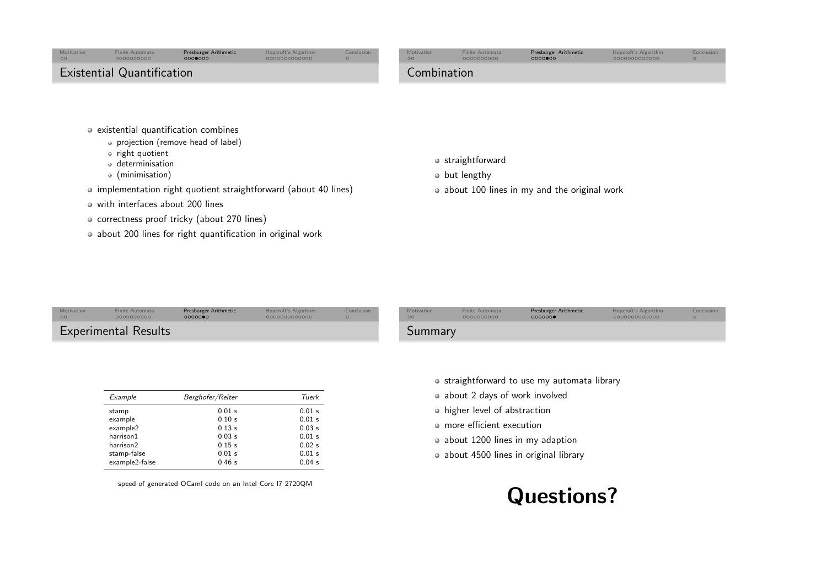<span id="page-4-0"></span>

| Motivation<br>00 <sub>o</sub> | <b>Finite Automata</b><br>0000000000 | Presburger Arithmetic<br>0000000 | Hopcroft's Algorithm<br>0000000000000 | Conclusion<br>$\circ$ | Motivation<br>$\circ$ | <b>Finite Automata</b><br>0000000000 | <b>Presburger Arithmetic</b><br>0000000 | Hopcroft's Algorithm<br>0000000000000 | Conclusion |
|-------------------------------|--------------------------------------|----------------------------------|---------------------------------------|-----------------------|-----------------------|--------------------------------------|-----------------------------------------|---------------------------------------|------------|
|                               | <b>Existential Quantification</b>    |                                  |                                       |                       | Combination           |                                      |                                         |                                       |            |
|                               |                                      |                                  |                                       |                       |                       |                                      |                                         |                                       |            |

- o existential quantification combines
	- projection (remove head of label)
	- right quotient
	- determinisation
	- (minimisation)
- implementation right quotient straightforward (about 40 lines)
- with interfaces about <sup>200</sup> lines
- o correctness proof tricky (about 270 lines)
- about 200 lines for right quantification in original work
- o straightforward
- $\bullet$  but lengthy
- about 100 lines in my and the original work

| Motivation | <b>Finite Automata</b>      | Presburger Arithmetic | Hopcroft's Algorithm | Conclusion | Motivation     | <b>Finite Automata</b> | Presburger Arithmetic | Hopcroft's Algorithm |
|------------|-----------------------------|-----------------------|----------------------|------------|----------------|------------------------|-----------------------|----------------------|
| 00         | 0000000000                  | 0000000               | 0000000000000        |            | 00             | 0000000000             | 0000000               | 0000000000000        |
|            | <b>Experimental Results</b> |                       |                      |            | <b>Summary</b> |                        |                       |                      |

|  | • straightforward to use my automata library |  |  |  |  |  |  |
|--|----------------------------------------------|--|--|--|--|--|--|
|--|----------------------------------------------|--|--|--|--|--|--|

- about 2 days of work involved
- higher level of abstraction
- more efficient execution
- about 1200 lines in my adaption
- about 4500 lines in original library

| example2       | 0.13 s | 0.03 s |
|----------------|--------|--------|
| harrison1      | 0.03 s | 0.01 s |
| harrison2      | 0.15 s | 0.02 s |
| stamp-false    | 0.01 s | 0.01 s |
| example2-false | 0.46 s | 0.04 s |
|                |        |        |

Example Berghofer/Reiter Tuerk stamp  $0.01$  s  $0.01$  s example 0.10 s 0.01 s

speed of generated OCaml code on an Intel Core I7 2720QM



[Conclusion](#page-8-0)<br>O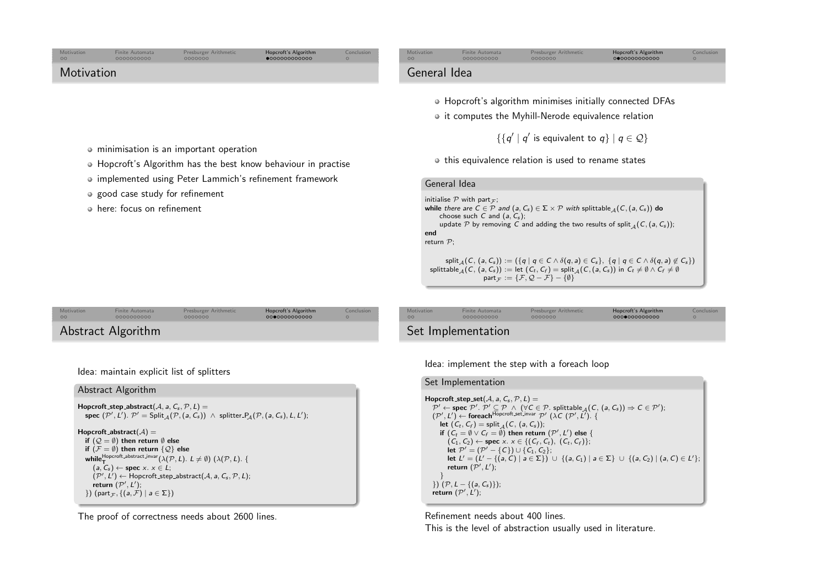<span id="page-5-0"></span>

| Motivation<br>$\circ$ | <b>Finite Automata</b><br>0000000000 | Presburger Arithmetic<br>0000000 | Hopcroft's Algorithm<br>$\bullet$ 000000000000 | Conclusion<br>$\circ$ | Motivation<br>00 | Finite Automata<br>0000000000 | Presburger Arithmetic<br>0000000                          | Hopcroft's Algorithm<br>0000000000000 |
|-----------------------|--------------------------------------|----------------------------------|------------------------------------------------|-----------------------|------------------|-------------------------------|-----------------------------------------------------------|---------------------------------------|
| Motivation            |                                      |                                  |                                                |                       | General Idea     |                               |                                                           |                                       |
|                       |                                      |                                  |                                                |                       |                  |                               |                                                           |                                       |
|                       |                                      |                                  |                                                |                       |                  |                               | • Hopcroft's algorithm minimises initially connected DFAs |                                       |
|                       |                                      |                                  |                                                |                       |                  |                               | • it computes the Myhill-Nerode equivalence relation      |                                       |

- minimisation is an important operation
- Hopcroft's Algorithm has the best know behaviour in practise
- o implemented using Peter Lammich's refinement framework
- good case study for refinement
- here: focus on refinement

|            |                                                                                                                                                                                                                                                                                                                                                                                                         |            |                   |                 | split $_A(C, (a, C_s)) := (\{q \mid q \in C \wedge \delta(q, a) \in C_s\}, \{q \mid q \in C \wedge \delta(q, a) \notin C_s\})$<br>splittable $_A(C, (a, C_s)) :=$ let $(C_t, C_f) =$ split $_A(C, (a, C_s))$ in $C_t \neq \emptyset \wedge C_f \neq \emptyset$<br>part $\tau := {\mathcal{F}}, {\mathcal{Q}} - {\mathcal{F}} - {\emptyset}$ |                      |  |
|------------|---------------------------------------------------------------------------------------------------------------------------------------------------------------------------------------------------------------------------------------------------------------------------------------------------------------------------------------------------------------------------------------------------------|------------|-------------------|-----------------|---------------------------------------------------------------------------------------------------------------------------------------------------------------------------------------------------------------------------------------------------------------------------------------------------------------------------------------------|----------------------|--|
| Arithmetic | Hopcroft's Algorithm                                                                                                                                                                                                                                                                                                                                                                                    | Conclusion | <b>Motivation</b> | Finite Automata | <b>Presburger Arithmetic</b>                                                                                                                                                                                                                                                                                                                | Hopcroft's Algorithm |  |
|            | $\bigcap_{n=1}^{\infty} \bigcap_{n=1}^{\infty} \bigcap_{n=1}^{\infty} \bigcap_{n=1}^{\infty} \bigcap_{n=1}^{\infty} \bigcap_{n=1}^{\infty} \bigcap_{n=1}^{\infty} \bigcap_{n=1}^{\infty} \bigcap_{n=1}^{\infty} \bigcap_{n=1}^{\infty} \bigcap_{n=1}^{\infty} \bigcap_{n=1}^{\infty} \bigcap_{n=1}^{\infty} \bigcap_{n=1}^{\infty} \bigcap_{n=1}^{\infty} \bigcap_{n=1}^{\infty} \bigcap_{n=1}^{\infty$ |            | $\cap$            | COOCCOOCO       | 0000000                                                                                                                                                                                                                                                                                                                                     | $0000000000000$      |  |

|  | Abstract Algorithm |
|--|--------------------|
|--|--------------------|

[Motivation](#page-0-0)

 $\circ$ 

Idea: maintain explicit list of splitters

Finite[Automata](#page-0-0) [Presburger](#page-3-0) Arithmetic [Hopcroft's](#page-5-0)Algorithm

### Abstract Algorithm

```
\mathsf{Hopcroft}\_\mathsf{step}\_\mathsf{abstract}(\mathcal{A}, \mathsf{a}, \mathsf{C}_\mathsf{s}, \mathcal{P}, \mathsf{L}) =spec (\mathcal{P}', L'). \mathcal{P}' = \mathsf{Split}_{\mathcal{A}}(\mathcal{P}, (a, C_s)) \ \wedge \ \mathsf{splitter}\_\mathcal{A}(\mathcal{P}, (a, C_s), L, L').
```

```
\mathsf{Hopcroft}\_\mathtt{abstract}(\mathcal{A}) =if (\mathcal{Q} = \emptyset) then return \emptyset else<br>if (\mathcal{I} = \emptyset) then return \{O\} c
          if (\mathcal{F} = \emptyset) then return \{ \mathcal{Q} \} else
          \text{while} \begin{array}{c} \text{In } (\mathcal{F} \equiv \emptyset) \text{ then return } \{ \mathcal{L} \} \text{ else} \\ \text{while} \begin{array}{c} H(\mathcal{F}) \neq \emptyset \end{array} \text{ if } (\mathcal{F} \in \mathcal{F}) \text{ and } (\mathcal{F} \in \mathcal{F}) \text{ if } (\mathcal{F} \in \mathcal{F}) \text{ if } (\mathcal{F} \in \mathcal{F}) \text{ if } (\mathcal{F} \in \mathcal{F}) \text{ if } (\mathcal{F} \in \mathcal{F}) \text{ if } (\mathcal{F} \in \mathcal{F}) \text{ if } (\(a, C_s) \leftarrow \textbf{spec} \times \mathbf{x} \in L;<br>(\mathcal{D}' \mid \mathbf{1}') \leftarrow \textbf{Horcroft step}({\mathcal P}', {\mathcal L}') \leftarrow \textsf{Hopcroft\_step\_abstract}({\mathcal A}, \textsf{a}, {\mathcal C}_\mathsf{s}, {\mathcal P}, {\mathcal L});return ({\mathcal P}' \, \mathcal I') \cdotreturn (\mathcal{P}', \mathcal{L}');
          \}) (part_{\mathcal{F}}, \{ (a, \mathcal{F}) \mid a \in \Sigma \})
```
The proof of correctness needs about <sup>2600</sup> lines.

# Set Implementation

General Idea

endreturn <sup>P</sup>;

initialise  $\mathcal P$  with part $_{\mathcal F}$ 

choose such  $C$  and  $(a, C_s)$ ;

Idea: implement the step with <sup>a</sup> foreach loop

### Set Implementation

```
\mathsf{Hopcroft}\_\mathsf{step}\_\mathsf{set}(\mathcal{A}, \mathsf{a}, \mathsf{C}_\mathsf{s}, \mathcal{P}, \mathsf{L}) =P' ← spec P'. \mathcal{P}' \subseteq \mathcal{P} ∧ (∀C ∈ P. splittable _A(C, (a, C_s)) \Rightarrow C \in \mathcal{P}');<br>
(\mathcal{P}', L') \leftarrow foreach \bigcap_{A \in \mathcal{P}'} \{ \lambda(C \ (\mathcal{P}', L') \cdot \}<br>
let (C, C_s) = split (A, C_s)):
           \mathsf{let}~( \mathsf{C}_t, \mathsf{C}_f ) = \mathsf{split}_\mathcal{A}(\mathsf{C},\,(\mathsf{a},\mathsf{C}_s));if (C_t = \emptyset \vee C_f = \emptyset) then return (\mathcal{P}', L') else {
                 (C_1, C_2) \leftarrow \text{spec } x. \ x \in \{ (C_f, C_t), (C_t, C_f) \};<br>let \mathcal{P}' = (\mathcal{P}' - \{ C \}) \cup \{ C_t, C_t \}.let \mathcal{P}' = (\mathcal{P}' - \{C\}) \cup \{C_1, C_2\};let L' = (L' - \{(a, C) | a \in Σ)\}\cup \{(a, C_1) | a \in Σ\} ∪ \{(a, C_2) | (a, C) \in L'\};return (\mathcal{P}', \mathcal{L}');}}) (\mathcal{P}, L - \{(a, C_s)\});
     return (\mathcal{P}', \mathcal{L}');
```
 $\{ \{ q' \mid q' \text{ is equivalent to } q \} \mid q \in \mathcal{Q} \}$ 

 $\bullet$  this equivalence relation is used to rename states

initialise P with part<sub>F</sub>;<br>while there are C ∈ P and (a, C<sub>s</sub>) ∈ ∑ × P with splittable<sub>A</sub>(C,(a, C<sub>s</sub>)) do<br>choose such C and (a, C );

update  $\mathcal P$  by removing  $\mathcal C$  and adding the two results of split ${}_{\mathcal A}(C,(a, C_s));$ 

Finite[Automata](#page-0-0) [Presburger](#page-3-0)Arithmetic [Hopcroft's](#page-5-0)Algorithm

Conclus<br>O

Refinement needs about <sup>400</sup> lines. This is the level of abstraction usually used in literature.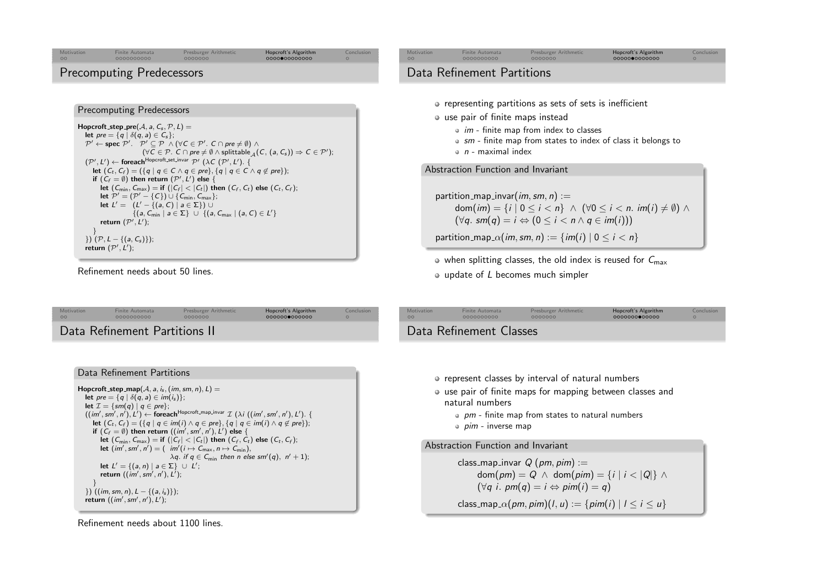<span id="page-6-0"></span>

[Conclusion](#page-8-0)

[Motivation](#page-0-0)

 $\circ$ 

 $partition\_map\_invar(im,sm,n) :=$ 

dom $(im) = \{i \mid 0 \le i < n\} \land (\forall 0 \le i < n \text{. im}(i) \ne \emptyset) \land$  $(\forall q. sm(q) = i \Leftrightarrow (0 \leq i < n \wedge q \in im(i)))$ 

partition\_map\_ $\alpha(im,sm,n) := \{im(i) | 0 \leq i < n\}$ 

 $\bullet$  when splitting classes, the old index is reused for  $C_{\text{max}}$ update of <sup>L</sup> becomes much simpler

Finite[Automata](#page-0-0) [Presburger](#page-3-0)Arithmetic [Hopcroft's](#page-5-0)Algorithm

[Conclusion](#page-8-0)

let  $(C_{\text{min}}, C_{\text{max}}) =$  if  $(|C_f| < |C_t|)$  then  $(C_f, C_t)$  else  $(C_t, C_f)$ ;

 $\{ (a, C_{\min} \mid a \in \Sigma \} \ \cup \ \{ (a, C_{\max} \mid (a, C) \in L' \} \$ 

Finite[Automata](#page-0-0) [Presburger](#page-3-0) Arithmetic [Hopcroft's](#page-5-0)Algorithm

# Data Refinement Partitions II

Refinement needs about <sup>50</sup> lines.

return  $(\mathcal{P}', L')$ ;

 $\{P, L - \{(a, C_s)\}\};$ return  $(\mathcal{P}', \mathcal{L}');$ 

}

[Motivation](#page-0-0)

 $\circ$ 

if  $(C_f = \emptyset)$  then return  $(\mathcal{P}', L')$  else {

let  $P' = (P' - \{C\}) \cup \{C_{\min}, C_{\max}\};$ let  $L' = (L' - \{(a, C) \mid a \in \Sigma\}) \cup$ 

Refinement needs about <sup>1100</sup> lines.

# Data Refinement Classes

- represent classes by interval of natural numbers
- use pair of finite maps for mapping between classes andnatural numbers
	- pm finite map from states to natural numbers<br>sime dinames were
	- *pim* inverse map

Abstraction Function and Invariant

 $\textsf{class\_map\_invar} \ Q\ (\rho m, \rho m):=$ dom $(pm) = Q \wedge \text{dom}(pim) = \{i \mid i < |Q|\} \wedge \{j \in [q] \}$ (∀q i. pm $(q) = i \Leftrightarrow$  pim $(i) = q$ ) class\_map\_ $\alpha$ (*pm*, *pim*)(*l*, *u*) := {*pim*(*i*) | *l*  $\leq$  *i*  $\leq$  *u*}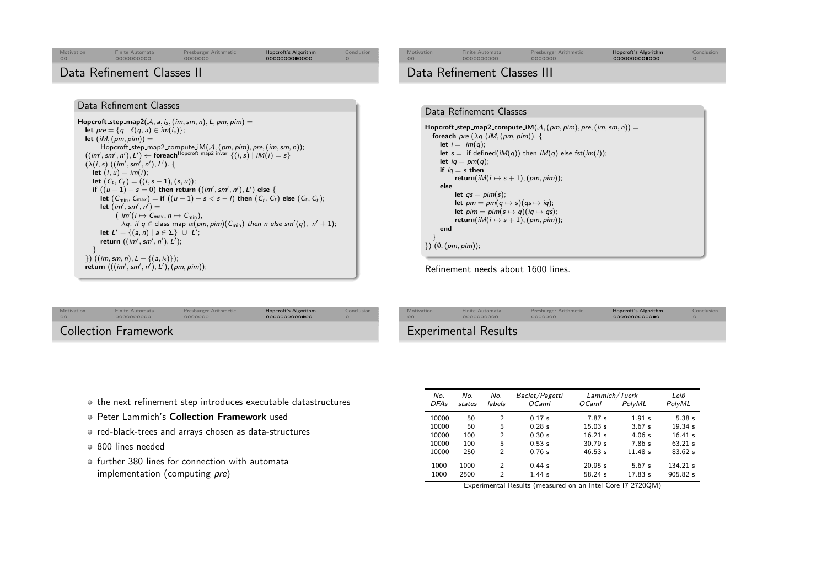<span id="page-7-0"></span>

| Motivation<br>00           | <b>Finite Automata</b><br>0000000000 | Presburger Arithmetic<br>0000000 | Hopcroft's Algorithm<br>0000000000000 | Conclusion<br>$\circ$ | Motivation<br>$\circ$       | <b>Finite Automata</b><br>0000000000 | Presburger Arithmetic<br>0000000 | Hopcroft's Algorithm<br>0000000000000 | Conclusion |
|----------------------------|--------------------------------------|----------------------------------|---------------------------------------|-----------------------|-----------------------------|--------------------------------------|----------------------------------|---------------------------------------|------------|
| Data Refinement Classes II |                                      |                                  |                                       |                       | Data Refinement Classes III |                                      |                                  |                                       |            |
|                            |                                      |                                  |                                       |                       |                             |                                      |                                  |                                       |            |

 $\mathsf{Hopcroft}\_\mathsf{step\_\mathsf{map2}(\mathcal{A},\mathsf{a},\mathsf{i}_\mathsf{s},(\mathsf{im},\mathsf{sm},\mathsf{n}),\mathsf{L},\mathsf{pm},\mathsf{p}\mathsf{m}) =$ let  $pre = \{q | \delta(q, a) \in im(i_s)\};$ let  $(iM, (pm, pim)) =$ Hopcroft\_step\_map2\_compute\_iM( $A$ , (pm, pim), pre, (im, sm, n));<br>((im', sm', n'), L')  $\leftarrow$  foreach<sup>Hopcroft\_map2\_invar</sup>  $\{(i, s) | iM(i) = s\}$ <br>( $\lambda(i, s)$  ((im', sm', n'), l')  $(\lambda(i,s)$   $((im',sm',n'),L')$ . { let  $(l, u) = im(i);$ let  $(C_t, C_f) = ((l, s - 1), (s, u));$ <br>if  $((u + 1), (s - 0)$  then return if  $((u+1)-s=0)$  then return  $((im', sm', n'), L')$  else {<br>let  $(C, C) =$  if  $((u+1) \cdot s \leq s$ , b then  $(C, C)$ let  $(C_{\text{min}}, C_{\text{max}}) =$  if  $((u+1) - s < s - l)$  then  $(C_f, C_t)$  else  $(C_t, C_f)$ ; let  $(im', sm', n') =$  $(m'(i \mapsto C_{\text{max}}, n \mapsto C_{\text{min}}),$ <br> $\lambda a$  if  $a \in \text{class man } \alpha(n)$  $\lambda$ q. if q ∈ class\_map\_ $\alpha$ (pm, pim)(C<sub>min</sub>) then n else sm'(q), n' + 1); let  $L' = \{(a, n) \mid a \in \Sigma\} \cup L';$ return  $((\mathit{im}', \mathit{sm}', \mathit{n}'), \mathit{L}');$ } }) ((im, sm, <sup>n</sup>), <sup>L</sup> <sup>−</sup> {(<sup>a</sup>, <sup>i</sup><sup>s</sup> )}); return  $(((im', sm', n'), L'), (pm, pim))$ ;



Refinement needs about <sup>1600</sup> lines.

| <b>Motivation</b> | Finite Automata             | Presburger Arithmetic | Hopcroft's Algorithm | Conclusion |
|-------------------|-----------------------------|-----------------------|----------------------|------------|
| 00                | 0000000000                  | 0000000               | 0000000000000        | $\Omega$   |
|                   | <b>Collection Framework</b> |                       |                      |            |

| on | Motivation<br>$\circ$ | Finite Automata<br>0000000000 | Presburger Arithmetic<br>0000000 | Hopcroft's Algorithm<br>0000000000000 | Conclusion |
|----|-----------------------|-------------------------------|----------------------------------|---------------------------------------|------------|
|    |                       | <b>Experimental Results</b>   |                                  |                                       |            |

- the next refinement step introduces executable datastructures
- Peter Lammich's **Collection Framework** used
- red-black-trees and arrays chosen as data-structures
- <sup>800</sup> lines needed

Data Refinement Classes

o further 380 lines for connection with automata implementation (computing pre)

| No.<br><b>DFAs</b> | No.<br>states                                              | No.<br>labels  | Baclet/Pagetti<br><i>OCaml</i> | Lammich/Tuerk<br><i>OCaml</i> | PolvML  | Leiß<br>PolyML |  |  |
|--------------------|------------------------------------------------------------|----------------|--------------------------------|-------------------------------|---------|----------------|--|--|
| 10000              | 50                                                         | 2              | 0.17 s                         | 7.87 s                        | 1.91 s  | 5.38s          |  |  |
| 10000              | 50                                                         | 5              | 0.28 s                         | 15.03 s                       | 3.67 s  | 19.34 s        |  |  |
| 10000              | 100                                                        | $\overline{2}$ | 0.30 s                         | $16.21$ s                     | 4.06 s  | 16.41 s        |  |  |
| 10000              | 100                                                        | 5              | 0.53 s                         | 30.79 s                       | 7.86 s  | 63.21 s        |  |  |
| 10000              | 250                                                        | $\mathfrak{D}$ | 0.76 s                         | 46.53 s                       | 11.48 s | 83.62 s        |  |  |
| 1000               | 1000                                                       | 2              | 0.44 s                         | 20.95 s                       | 5.67 s  | $134.21$ s     |  |  |
| 1000               | 2500                                                       | $\mathfrak{D}$ | $1.44$ s                       | 58.24 s                       | 17.83 s | 905.82 s       |  |  |
|                    | Experimental Results (measured on an Intel Core I7 2720QM) |                |                                |                               |         |                |  |  |